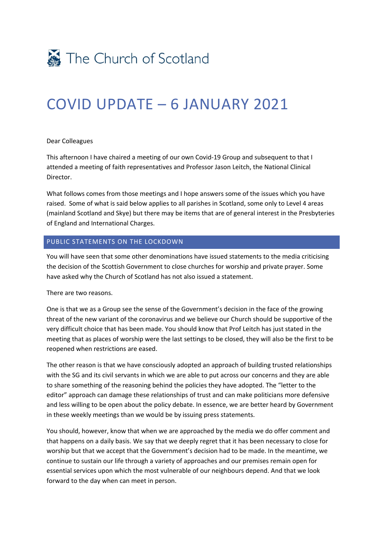

# COVID UPDATE – 6 JANUARY 2021

#### Dear Colleagues

This afternoon I have chaired a meeting of our own Covid-19 Group and subsequent to that I attended a meeting of faith representatives and Professor Jason Leitch, the National Clinical Director.

What follows comes from those meetings and I hope answers some of the issues which you have raised. Some of what is said below applies to all parishes in Scotland, some only to Level 4 areas (mainland Scotland and Skye) but there may be items that are of general interest in the Presbyteries of England and International Charges.

## PUBLIC STATEMENTS ON THE LOCKDOWN

You will have seen that some other denominations have issued statements to the media criticising the decision of the Scottish Government to close churches for worship and private prayer. Some have asked why the Church of Scotland has not also issued a statement.

There are two reasons.

One is that we as a Group see the sense of the Government's decision in the face of the growing threat of the new variant of the coronavirus and we believe our Church should be supportive of the very difficult choice that has been made. You should know that Prof Leitch has just stated in the meeting that as places of worship were the last settings to be closed, they will also be the first to be reopened when restrictions are eased.

The other reason is that we have consciously adopted an approach of building trusted relationships with the SG and its civil servants in which we are able to put across our concerns and they are able to share something of the reasoning behind the policies they have adopted. The "letter to the editor" approach can damage these relationships of trust and can make politicians more defensive and less willing to be open about the policy debate. In essence, we are better heard by Government in these weekly meetings than we would be by issuing press statements.

You should, however, know that when we are approached by the media we do offer comment and that happens on a daily basis. We say that we deeply regret that it has been necessary to close for worship but that we accept that the Government's decision had to be made. In the meantime, we continue to sustain our life through a variety of approaches and our premises remain open for essential services upon which the most vulnerable of our neighbours depend. And that we look forward to the day when can meet in person.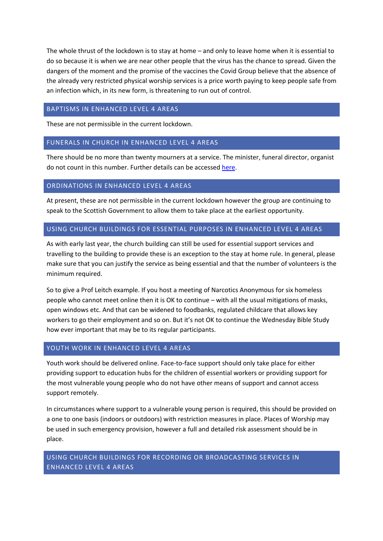The whole thrust of the lockdown is to stay at home – and only to leave home when it is essential to do so because it is when we are near other people that the virus has the chance to spread. Given the dangers of the moment and the promise of the vaccines the Covid Group believe that the absence of the already very restricted physical worship services is a price worth paying to keep people safe from an infection which, in its new form, is threatening to run out of control.

# BAPTISMS IN ENHANCED LEVEL 4 AREAS

These are not permissible in the current lockdown.

# FUNERALS IN CHURCH IN ENHANCED LEVEL 4 AREAS

There should be no more than twenty mourners at a service. The minister, funeral director, organist do not count in this number. Further details can be accessed here.

#### ORDINATIONS IN ENHANCED LEVEL 4 AREAS

At present, these are not permissible in the current lockdown however the group are continuing to speak to the Scottish Government to allow them to take place at the earliest opportunity.

## USING CHURCH BUILDINGS FOR ESSENTIAL PURPOSES IN ENHANCED LEVEL 4 AREAS

As with early last year, the church building can still be used for essential support services and travelling to the building to provide these is an exception to the stay at home rule. In general, please make sure that you can justify the service as being essential and that the number of volunteers is the minimum required.

So to give a Prof Leitch example. If you host a meeting of Narcotics Anonymous for six homeless people who cannot meet online then it is OK to continue – with all the usual mitigations of masks, open windows etc. And that can be widened to foodbanks, regulated childcare that allows key workers to go their employment and so on. But it's not OK to continue the Wednesday Bible Study how ever important that may be to its regular participants.

# YOUTH WORK IN ENHANCED LEVEL 4 AREAS

Youth work should be delivered online. Face-to-face support should only take place for either providing support to education hubs for the children of essential workers or providing support for the most vulnerable young people who do not have other means of support and cannot access support remotely.

In circumstances where support to a vulnerable young person is required, this should be provided on a one to one basis (indoors or outdoors) with restriction measures in place. Places of Worship may be used in such emergency provision, however a full and detailed risk assessment should be in place.

# USING CHURCH BUILDINGS FOR RECORDING OR BROADCASTING SERVICES IN ENHANCED LEVEL 4 AREAS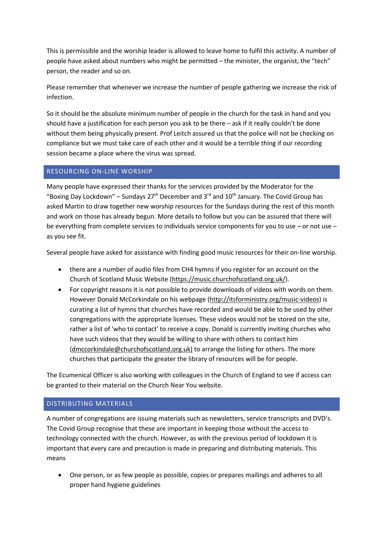This is permissible and the worship leader is allowed to leave home to fulfil this activity. A number of people have asked about numbers who might be permitted – the minister, the organist, the "tech" person, the reader and so on.

Please remember that whenever we increase the number of people gathering we increase the risk of infection.

So it should be the absolute minimum number of people in the church for the task in hand and you should have a justification for each person you ask to be there – ask if it really couldn't be done without them being physically present. Prof Leitch assured us that the police will not be checking on compliance but we must take care of each other and it would be a terrible thing if our recording session became a place where the virus was spread.

# RESOURCING ON-LINE WORSHIP

Many people have expressed their thanks for the services provided by the Moderator for the "Boxing Day Lockdown" – Sundays  $27<sup>th</sup>$  December and  $3<sup>rd</sup>$  and  $10<sup>th</sup>$  January. The Covid Group has asked Martin to draw together new worship resources for the Sundays during the rest of this month and work on those has already begun. More details to follow but you can be assured that there will be everything from complete services to individuals service components for you to use – or not use – as you see fit.

Several people have asked for assistance with finding good music resources for their on-line worship.

- there are a number of audio files from CH4 hymns if you register for an account on the Church of Scotland Music Website (https://music.churchofscotland.org.uk/).
- For copyright reasons it is not possible to provide downloads of videos with words on them. However Donald McCorkindale on his webpage (http://itsforministry.org/music-videos) is curating a list of hymns that churches have recorded and would be able to be used by other congregations with the appropriate licenses. These videos would not be stored on the site, rather a list of 'who to contact' to receive a copy. Donald is currently inviting churches who have such videos that they would be willing to share with others to contact him (dmccorkindale@churchofscotland.org.uk) to arrange the listing for others. The more churches that participate the greater the library of resources will be for people.

The Ecumenical Officer is also working with colleagues in the Church of England to see if access can be granted to their material on the Church Near You website.

# DISTRIBUTING MATERIALS

A number of congregations are issuing materials such as newsletters, service transcripts and DVD's. The Covid Group recognise that these are important in keeping those without the access to technology connected with the church. However, as with the previous period of lockdown it is important that every care and precaution is made in preparing and distributing materials. This means

• One person, or as few people as possible, copies or prepares mailings and adheres to all proper hand hygiene guidelines